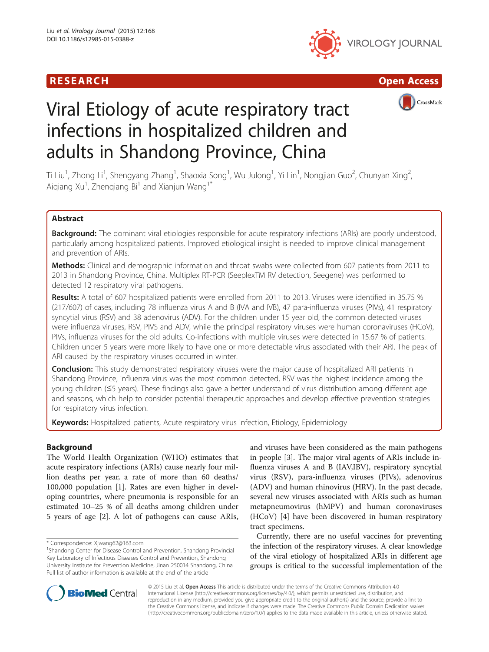





# Viral Etiology of acute respiratory tract infections in hospitalized children and adults in Shandong Province, China

Ti Liu<sup>1</sup>, Zhong Li<sup>1</sup>, Shengyang Zhang<sup>1</sup>, Shaoxia Song<sup>1</sup>, Wu Julong<sup>1</sup>, Yi Lin<sup>1</sup>, Nongjian Guo<sup>2</sup>, Chunyan Xing<sup>2</sup> , Aiqiang Xu<sup>1</sup>, Zhenqiang Bi<sup>1</sup> and Xianjun Wang<sup>1\*</sup>

# Abstract

Background: The dominant viral etiologies responsible for acute respiratory infections (ARIs) are poorly understood, particularly among hospitalized patients. Improved etiological insight is needed to improve clinical management and prevention of ARIs.

Methods: Clinical and demographic information and throat swabs were collected from 607 patients from 2011 to 2013 in Shandong Province, China. Multiplex RT-PCR (SeeplexTM RV detection, Seegene) was performed to detected 12 respiratory viral pathogens.

Results: A total of 607 hospitalized patients were enrolled from 2011 to 2013. Viruses were identified in 35.75 % (217/607) of cases, including 78 influenza virus A and B (IVA and IVB), 47 para-influenza viruses (PIVs), 41 respiratory syncytial virus (RSV) and 38 adenovirus (ADV). For the children under 15 year old, the common detected viruses were influenza viruses, RSV, PIVS and ADV, while the principal respiratory viruses were human coronaviruses (HCoV), PIVs, influenza viruses for the old adults. Co-infections with multiple viruses were detected in 15.67 % of patients. Children under 5 years were more likely to have one or more detectable virus associated with their ARI. The peak of ARI caused by the respiratory viruses occurred in winter.

Conclusion: This study demonstrated respiratory viruses were the major cause of hospitalized ARI patients in Shandong Province, influenza virus was the most common detected, RSV was the highest incidence among the young children (≤5 years). These findings also gave a better understand of virus distribution among different age and seasons, which help to consider potential therapeutic approaches and develop effective prevention strategies for respiratory virus infection.

Keywords: Hospitalized patients, Acute respiratory virus infection, Etiology, Epidemiology

# Background

The World Health Organization (WHO) estimates that acute respiratory infections (ARIs) cause nearly four million deaths per year, a rate of more than 60 deaths/ 100,000 population [[1\]](#page-5-0). Rates are even higher in developing countries, where pneumonia is responsible for an estimated 10–25 % of all deaths among children under 5 years of age [\[2\]](#page-5-0). A lot of pathogens can cause ARIs,

\* Correspondence: [Xjwang62@163.com](mailto:Xjwang62@163.com) <sup>1</sup>

and viruses have been considered as the main pathogens in people [\[3](#page-5-0)]. The major viral agents of ARIs include influenza viruses A and B (IAV,IBV), respiratory syncytial virus (RSV), para-influenza viruses (PIVs), adenovirus (ADV) and human rhinovirus (HRV). In the past decade, several new viruses associated with ARIs such as human metapneumovirus (hMPV) and human coronaviruses (HCoV) [[4\]](#page-5-0) have been discovered in human respiratory tract specimens.

Currently, there are no useful vaccines for preventing the infection of the respiratory viruses. A clear knowledge of the viral etiology of hospitalized ARIs in different age groups is critical to the successful implementation of the



© 2015 Liu et al. Open Access This article is distributed under the terms of the Creative Commons Attribution 4.0 International License [\(http://creativecommons.org/licenses/by/4.0/](http://creativecommons.org/licenses/by/4.0/)), which permits unrestricted use, distribution, and reproduction in any medium, provided you give appropriate credit to the original author(s) and the source, provide a link to the Creative Commons license, and indicate if changes were made. The Creative Commons Public Domain Dedication waiver [\(http://creativecommons.org/publicdomain/zero/1.0/](http://creativecommons.org/publicdomain/zero/1.0/)) applies to the data made available in this article, unless otherwise stated.

<sup>&</sup>lt;sup>1</sup>Shandong Center for Disease Control and Prevention, Shandong Provincial Key Laboratory of Infectious Diseases Control and Prevention, Shandong University Institute for Prevention Medicine, Jinan 250014 Shandong, China Full list of author information is available at the end of the article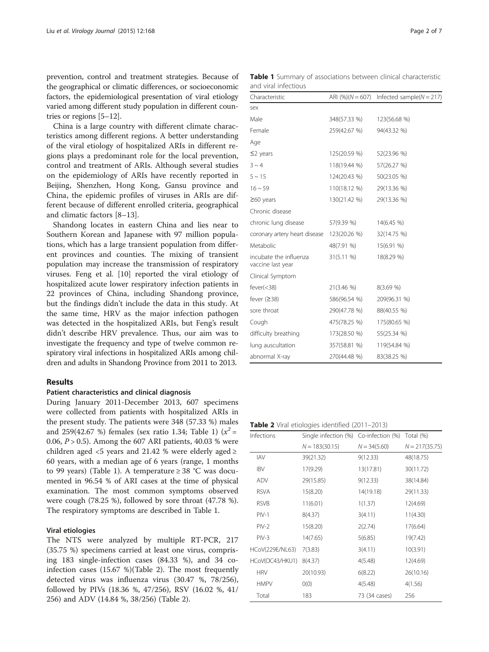<span id="page-1-0"></span>prevention, control and treatment strategies. Because of the geographical or climatic differences, or socioeconomic factors, the epidemiological presentation of viral etiology varied among different study population in different countries or regions [[5](#page-5-0)–[12\]](#page-5-0).

China is a large country with different climate characteristics among different regions. A better understanding of the viral etiology of hospitalized ARIs in different regions plays a predominant role for the local prevention, control and treatment of ARIs. Although several studies on the epidemiology of ARIs have recently reported in Beijing, Shenzhen, Hong Kong, Gansu province and China, the epidemic profiles of viruses in ARIs are different because of different enrolled criteria, geographical and climatic factors [\[8](#page-5-0)–[13](#page-5-0)].

Shandong locates in eastern China and lies near to Southern Korean and Japanese with 97 million populations, which has a large transient population from different provinces and counties. The mixing of transient population may increase the transmission of respiratory viruses. Feng et al. [[10](#page-5-0)] reported the viral etiology of hospitalized acute lower respiratory infection patients in 22 provinces of China, including Shandong province, but the findings didn't include the data in this study. At the same time, HRV as the major infection pathogen was detected in the hospitalized ARIs, but Feng's result didn't describe HRV prevalence. Thus, our aim was to investigate the frequency and type of twelve common respiratory viral infections in hospitalized ARIs among children and adults in Shandong Province from 2011 to 2013.

# Results

# Patient characteristics and clinical diagnosis

During January 2011-December 2013, 607 specimens were collected from patients with hospitalized ARIs in the present study. The patients were 348 (57.33 %) males and 259(42.67 %) females (sex ratio 1.34; Table 1)  $(x^2 =$ 0.06,  $P > 0.5$ ). Among the 607 ARI patients, 40.03 % were children aged <5 years and 21.42 % were elderly aged  $\ge$ 60 years, with a median age of 6 years (range, 1 months to 99 years) (Table 1). A temperature  $\geq$  38 °C was documented in 96.54 % of ARI cases at the time of physical examination. The most common symptoms observed were cough (78.25 %), followed by sore throat (47.78 %). The respiratory symptoms are described in Table 1.

# Viral etiologies

The NTS were analyzed by multiple RT-PCR, 217 (35.75 %) specimens carried at least one virus, comprising 183 single-infection cases (84.33 %), and 34 coinfection cases (15.67 %)(Table 2). The most frequently detected virus was influenza virus (30.47 %, 78/256), followed by PIVs (18.36 %, 47/256), RSV (16.02 %, 41/ 256) and ADV (14.84 %, 38/256) (Table 2).

Table 1 Summary of associations between clinical characteristic and viral infectious

| Characteristic                              |              | ARI $(\%)$ ( $N = 607$ ) Infected sample( $N = 217$ ) |
|---------------------------------------------|--------------|-------------------------------------------------------|
| sex                                         |              |                                                       |
| Male                                        | 348(57.33 %) | 123(56.68 %)                                          |
| Female                                      | 259(42.67 %) | 94(43.32 %)                                           |
| Age                                         |              |                                                       |
| $\leq$ years                                | 125(20.59 %) | 52(23.96 %)                                           |
| $3 \sim 4$                                  | 118(19.44 %) | 57(26.27 %)                                           |
| $5 - 15$                                    | 124(20.43 %) | 50(23.05 %)                                           |
| $16 - 59$                                   | 110(18.12 %) | 29(13.36 %)                                           |
| $\geq$ 60 years                             | 130(21.42 %) | 29(13.36 %)                                           |
| Chronic disease                             |              |                                                       |
| chronic lung disease                        | 57(9.39 %)   | $14(6.45\%)$                                          |
| coronary artery heart disease               | 123(20.26 %) | 32(14.75 %)                                           |
| Metabolic                                   | 48(7.91 %)   | 15(6.91 %)                                            |
| incubate the influenza<br>vaccine last year | 31(5.11 %)   | 18(8.29 %)                                            |
| Clinical Symptom                            |              |                                                       |
| fever(<38)                                  | 21(3.46 %)   | 8(3.69 %)                                             |
| fever $(238)$                               | 586(96.54 %) | 209(96.31 %)                                          |
| sore throat                                 | 290(47.78 %) | 88(40.55 %)                                           |
| Cough                                       | 475(78.25 %) | 175(80.65 %)                                          |
| difficulty breathing                        | 173(28.50 %) | 55(25.34 %)                                           |
| lung auscultation                           | 357(58.81 %) | 119(54.84 %)                                          |
| abnormal X-ray                              | 270(44.48 %) | 83(38.25 %)                                           |

Table 2 Viral etiologies identified (2011-2013)

| Infections      | Single infection (%) Co-infection (%) Total (%) |                |                  |
|-----------------|-------------------------------------------------|----------------|------------------|
|                 | $N = 183(30.15)$                                | $N = 34(5.60)$ | $N = 217(35.75)$ |
| IAV             | 39(21.32)                                       | 9(12.33)       | 48(18.75)        |
| <b>IBV</b>      | 17(9.29)                                        | 13(17.81)      | 30(11.72)        |
| ADV             | 29(15.85)                                       | 9(12.33)       | 38(14.84)        |
| <b>RSVA</b>     | 15(8.20)                                        | 14(19.18)      | 29(11.33)        |
| <b>RSVB</b>     | 11(6.01)                                        | 1(1.37)        | 12(4.69)         |
| $PIV-1$         | 8(4.37)                                         | 3(4.11)        | 11(4.30)         |
| $PIV-2$         | 15(8.20)                                        | 2(2.74)        | 17(6.64)         |
| $PIV-3$         | 14(7.65)                                        | 5(6.85)        | 19(7.42)         |
| HCoV(229E/NL63) | 7(3.83)                                         | 3(4.11)        | 10(3.91)         |
| HCoV(OC43/HKU1) | 8(4.37)                                         | 4(5.48)        | 12(4.69)         |
| <b>HRV</b>      | 20(10.93)                                       | 6(8.22)        | 26(10.16)        |
| <b>HMPV</b>     | O(0)                                            | 4(5.48)        | 4(1.56)          |
| Total           | 183                                             | 73 (34 cases)  | 256              |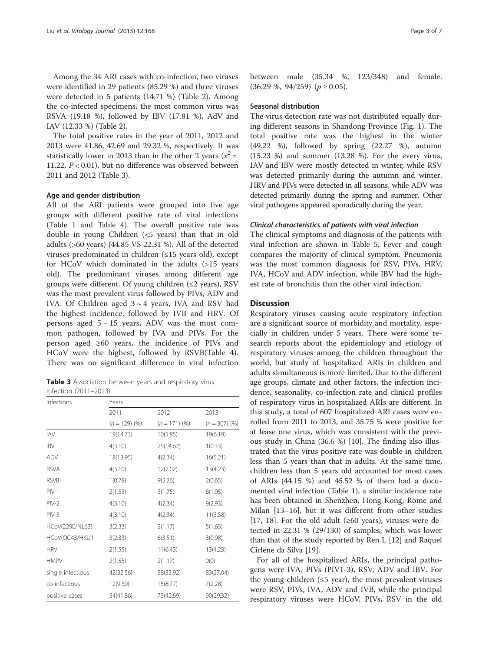Among the 34 ARI cases with co-infection, two viruses were identified in 29 patients (85.29 %) and three viruses were detected in 5 patients (14.71 %) (Table [2](#page-1-0)). Among the co-infected specimens, the most common virus was RSVA (19.18 %), followed by IBV (17.81 %), AdV and IAV (12.33 %) (Table [2\)](#page-1-0).

The total positive rates in the year of 2011, 2012 and 2013 were 41.86, 42.69 and 29.32 %, respectively. It was statistically lower in 2013 than in the other 2 years ( $x^2$  = 11.22, P < 0.01), but no difference was observed between 2011 and 2012 (Table 3).

## Age and gender distribution

All of the ARI patients were grouped into five age groups with different positive rate of viral infections (Table [1](#page-1-0) and Table [4\)](#page-3-0). The overall positive rate was double in young Children (<5 years) than that in old adults (>60 years) (44.85 VS 22.31 %). All of the detected viruses predominated in children (≤15 years old), except for HCoV which dominated in the adults (>15 years old). The predominant viruses among different age groups were different. Of young children  $(\leq 2 \text{ years})$ , RSV was the most prevalent virus followed by PIVs, ADV and IVA. Of Children aged  $3 \sim 4$  years, IVA and RSV had the highest incidence, followed by IVB and HRV. Of persons aged  $5 \sim 15$  years, ADV was the most common pathogen, followed by IVA and PIVs. For the person aged ≥60 years, the incidence of PIVs and HCoV were the highest, followed by RSVB(Table [4](#page-3-0)). There was no significant difference in viral infection

Table 3 Association between years and respiratory virus infection (2011–2013)

| Infections        | Years           |                 |                 |  |  |
|-------------------|-----------------|-----------------|-----------------|--|--|
|                   | 2011            | 2012            | 2013            |  |  |
|                   | $(n = 129)$ (%) | $(n = 171)$ (%) | $(n = 307)$ (%) |  |  |
| <b>IAV</b>        | 19(14.73)       | 10(5.85)        | 19(6.19)        |  |  |
| <b>IBV</b>        | 4(3.10)         | 25(14.62)       | 1(0.33)         |  |  |
| ADV               | 18(13.95)       | 4(2.34)         | 16(5.21)        |  |  |
| <b>RSVA</b>       | 4(3.10)         | 12(7.02)        | 13(4.23)        |  |  |
| <b>RSVB</b>       | 1(0.78)         | 9(5.26)         | 2(0.65)         |  |  |
| $PIV-1$           | 2(1.55)         | 3(1.75)         | 6(1.95)         |  |  |
| $PIV-2$           | 4(3.10)         | 4(2.34)         | 9(2.93)         |  |  |
| $PIV-3$           | 4(3.10)         | 4(2.34)         | 11(3.58)        |  |  |
| HCoV(229E/NL63)   | 3(2.33)         | 2(1.17)         | 5(1.63)         |  |  |
| HCoV(OC43/HKU1    | 3(2.33)         | 6(3.51)         | 3(0.98)         |  |  |
| <b>HRV</b>        | 2(1.55)         | 11(6.43)        | 13(4.23)        |  |  |
| <b>HMPV</b>       | 2(1.55)         | 2(1.17)         | O(0)            |  |  |
| single infectious | 42(32.56)       | 58(33.92)       | 83(27.04)       |  |  |
| co-infectious     | 12(9.30)        | 15(8.77)        | 7(2.28)         |  |  |
| positive cases    | 54(41.86)       | 73(42.69)       | 90(29.32)       |  |  |

between male (35.34 %, 123/348) and female.  $(36.29 \text{ %}, 94/259)$   $(p \ge 0.05)$ .

# Seasonal distribution

The virus detection rate was not distributed equally during different seasons in Shandong Province (Fig. [1\)](#page-3-0). The total positive rate was the highest in the winter (49.22 %), followed by spring (22.27 %), autumn (15.23 %) and summer (13.28 %). For the every virus, IAV and IBV were mostly detected in winter, while RSV was detected primarily during the autumn and winter. HRV and PIVs were detected in all seasons, while ADV was detected primarily during the spring and summer. Other viral pathogens appeared sporadically during the year.

# Clinical characteristics of patients with viral infection

The clinical symptoms and diagnosis of the patients with viral infection are shown in Table [5](#page-4-0). Fever and cough compares the majority of clinical symptom. Pneumonia was the most common diagnosis for RSV, PIVs, HRV, IVA, HCoV and ADV infection, while IBV had the highest rate of bronchitis than the other viral infection.

# **Discussion**

Respiratory viruses causing acute respiratory infection are a significant source of morbidity and mortality, especially in children under 5 years. There were some research reports about the epidemiology and etiology of respiratory viruses among the children throughout the world, but study of hospitalized ARIs in children and adults simultaneous is more limited. Due to the different age groups, climate and other factors, the infection incidence, seasonality, co-infection rate and clinical profiles of respiratory virus in hospitalized ARIs are different. In this study, a total of 607 hospitalized ARI cases were enrolled from 2011 to 2013, and 35.75 % were positive for at lease one virus, which was consistent with the previous study in China (36.6 %) [[10\]](#page-5-0). The finding also illustrated that the virus positive rate was double in children less than 5 years than that in adults. At the same time, children less than 5 years old accounted for most cases of ARIs (44.15 %) and 45.52 % of them had a documented viral infection (Table [1](#page-1-0)), a similar incidence rate has been obtained in Shenzhen, Hong Kong, Rome and Milan [[13](#page-5-0)–[16](#page-5-0)], but it was different from other studies [[17, 18\]](#page-5-0). For the old adult ( $\geq 60$  years), viruses were detected in 22.31 % (29/130) of samples, which was lower than that of the study reported by Ren L [[12\]](#page-5-0) and Raquel Cirlene da Silva [\[19\]](#page-5-0).

For all of the hospitalized ARIs, the principal pathogens were IVA, PIVs (PIV1-3), RSV, ADV and IBV. For the young children  $(\leq 5$  year), the most prevalent viruses were RSV, PIVs, IVA, ADV and IVB, while the principal respiratory viruses were HCoV, PIVs, RSV in the old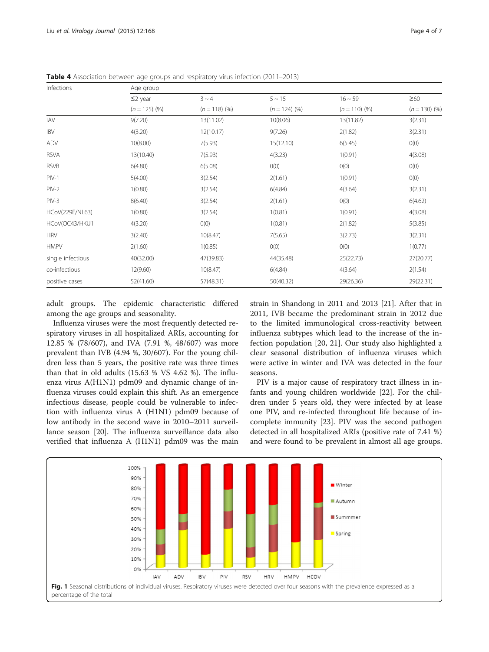| Infections        | Age group       |                 |                 |                 |                 |  |
|-------------------|-----------------|-----------------|-----------------|-----------------|-----------------|--|
|                   | $\leq$ 2 year   | $3 \sim 4$      | $5 \sim 15$     | $16 \sim 59$    | $\geq 60$       |  |
|                   | $(n = 125)$ (%) | $(n = 118)$ (%) | $(n = 124)$ (%) | $(n = 110)$ (%) | $(n = 130)$ (%) |  |
| <b>IAV</b>        | 9(7.20)         | 13(11.02)       | 10(8.06)        | 13(11.82)       | 3(2.31)         |  |
| <b>IBV</b>        | 4(3.20)         | 12(10.17)       | 9(7.26)         | 2(1.82)         | 3(2.31)         |  |
| ADV               | 10(8.00)        | 7(5.93)         | 15(12.10)       | 6(5.45)         | O(0)            |  |
| <b>RSVA</b>       | 13(10.40)       | 7(5.93)         | 4(3.23)         | 1(0.91)         | 4(3.08)         |  |
| <b>RSVB</b>       | 6(4.80)         | 6(5.08)         | O(0)            | O(0)            | O(0)            |  |
| $PIV-1$           | 5(4.00)         | 3(2.54)         | 2(1.61)         | 1(0.91)         | O(0)            |  |
| $PIV-2$           | 1(0.80)         | 3(2.54)         | 6(4.84)         | 4(3.64)         | 3(2.31)         |  |
| $PIV-3$           | 8(6.40)         | 3(2.54)         | 2(1.61)         | O(0)            | 6(4.62)         |  |
| HCoV(229E/NL63)   | 1(0.80)         | 3(2.54)         | 1(0.81)         | 1(0.91)         | 4(3.08)         |  |
| HCoV(OC43/HKU1    | 4(3.20)         | O(0)            | 1(0.81)         | 2(1.82)         | 5(3.85)         |  |
| <b>HRV</b>        | 3(2.40)         | 10(8.47)        | 7(5.65)         | 3(2.73)         | 3(2.31)         |  |
| <b>HMPV</b>       | 2(1.60)         | 1(0.85)         | O(0)            | O(0)            | 1(0.77)         |  |
| single infectious | 40(32.00)       | 47(39.83)       | 44(35.48)       | 25(22.73)       | 27(20.77)       |  |
| co-infectious     | 12(9.60)        | 10(8.47)        | 6(4.84)         | 4(3.64)         | 2(1.54)         |  |
| positive cases    | 52(41.60)       | 57(48.31)       | 50(40.32)       | 29(26.36)       | 29(22.31)       |  |

<span id="page-3-0"></span>Table 4 Association between age groups and respiratory virus infection (2011–2013)

adult groups. The epidemic characteristic differed among the age groups and seasonality.

Influenza viruses were the most frequently detected respiratory viruses in all hospitalized ARIs, accounting for 12.85 % (78/607), and IVA (7.91 %, 48/607) was more prevalent than IVB (4.94 %, 30/607). For the young children less than 5 years, the positive rate was three times than that in old adults (15.63 % VS 4.62 %). The influenza virus A(H1N1) pdm09 and dynamic change of influenza viruses could explain this shift. As an emergence infectious disease, people could be vulnerable to infection with influenza virus A (H1N1) pdm09 because of low antibody in the second wave in 2010–2011 surveillance season [\[20](#page-5-0)]. The influenza surveillance data also verified that influenza A (H1N1) pdm09 was the main

strain in Shandong in 2011 and 2013 [\[21](#page-5-0)]. After that in 2011, IVB became the predominant strain in 2012 due to the limited immunological cross-reactivity between influenza subtypes which lead to the increase of the infection population [[20, 21\]](#page-5-0). Our study also highlighted a clear seasonal distribution of influenza viruses which were active in winter and IVA was detected in the four seasons.

PIV is a major cause of respiratory tract illness in infants and young children worldwide [\[22\]](#page-5-0). For the children under 5 years old, they were infected by at lease one PIV, and re-infected throughout life because of incomplete immunity [\[23](#page-6-0)]. PIV was the second pathogen detected in all hospitalized ARIs (positive rate of 7.41 %) and were found to be prevalent in almost all age groups.

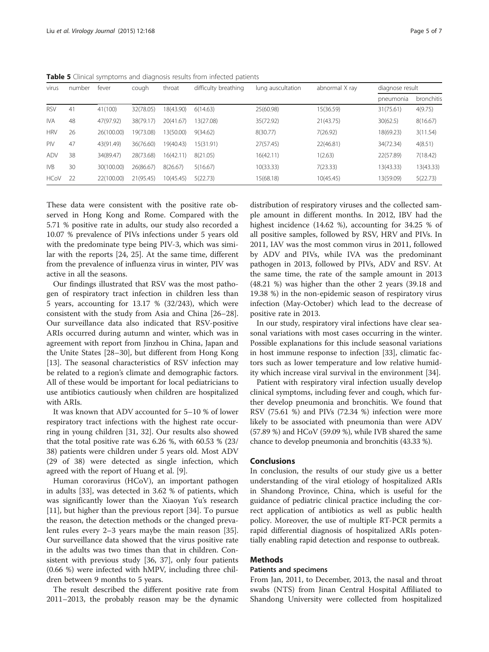| virus       | number | fever      | cough     | throat    | difficulty breathing | lung auscultation | abnormal X ray | diagnose result |            |
|-------------|--------|------------|-----------|-----------|----------------------|-------------------|----------------|-----------------|------------|
|             |        |            |           |           |                      |                   |                | pneumonia       | bronchitis |
| <b>RSV</b>  | 41     | 41(100)    | 32(78.05) | 8(43.90)  | 6(14.63)             | 25(60.98)         | 15(36.59)      | 31(75.61)       | 4(9.75)    |
| <b>IVA</b>  | 48     | 47(97.92)  | 38(79.17) | 20(41.67) | 3(27.08)             | 35(72.92)         | 21(43.75)      | 30(62.5)        | 8(16.67)   |
| <b>HRV</b>  | 26     | 26(100.00) | 19(73.08) | 3(50.00)  | 9(34.62)             | 8(30.77)          | 7(26.92)       | 18(69.23)       | 3(11.54)   |
| PIV         | 47     | 43(91.49)  | 36(76.60) | 9(40.43)  | 15(31.91)            | 27(57.45)         | 22(46.81)      | 34(72.34)       | 4(8.51)    |
| <b>ADV</b>  | 38     | 34(89.47)  | 28(73.68) | 16(42.11) | 8(21.05)             | 16(42.11)         | 1(2.63)        | 22(57.89)       | 7(18.42)   |
| IVB         | 30     | 30(100.00) | 26(86.67) | 8(26.67)  | 5(16.67)             | 10(33.33)         | 7(23.33)       | 13(43.33)       | 13(43.33)  |
| <b>HCoV</b> | 22     | 22(100.00) | 21(95.45) | 10(45.45) | 5(22.73)             | 15(68.18)         | 10(45.45)      | 13(59.09)       | 5(22.73)   |

<span id="page-4-0"></span>Table 5 Clinical symptoms and diagnosis results from infected patients

These data were consistent with the positive rate observed in Hong Kong and Rome. Compared with the 5.71 % positive rate in adults, our study also recorded a 10.07 % prevalence of PIVs infections under 5 years old with the predominate type being PIV-3, which was similar with the reports [\[24, 25](#page-6-0)]. At the same time, different from the prevalence of influenza virus in winter, PIV was active in all the seasons.

Our findings illustrated that RSV was the most pathogen of respiratory tract infection in children less than 5 years, accounting for 13.17 % (32/243), which were consistent with the study from Asia and China [[26](#page-6-0)–[28](#page-6-0)]. Our surveillance data also indicated that RSV-positive ARIs occurred during autumn and winter, which was in agreement with report from Jinzhou in China, Japan and the Unite States [[28](#page-6-0)–[30](#page-6-0)], but different from Hong Kong [[13\]](#page-5-0). The seasonal characteristics of RSV infection may be related to a region's climate and demographic factors. All of these would be important for local pediatricians to use antibiotics cautiously when children are hospitalized with ARIs.

It was known that ADV accounted for 5–10 % of lower respiratory tract infections with the highest rate occurring in young children [\[31](#page-6-0), [32\]](#page-6-0). Our results also showed that the total positive rate was 6.26 %, with 60.53 % (23/ 38) patients were children under 5 years old. Most ADV (29 of 38) were detected as single infection, which agreed with the report of Huang et al. [\[9](#page-5-0)].

Human cororavirus (HCoV), an important pathogen in adults [\[33](#page-6-0)], was detected in 3.62 % of patients, which was significantly lower than the Xiaoyan Yu's research [[11\]](#page-5-0), but higher than the previous report [[34\]](#page-6-0). To pursue the reason, the detection methods or the changed prevalent rules every 2–3 years maybe the main reason [\[35](#page-6-0)]. Our surveillance data showed that the virus positive rate in the adults was two times than that in children. Consistent with previous study [[36, 37\]](#page-6-0), only four patients (0.66 %) were infected with hMPV, including three children between 9 months to 5 years.

The result described the different positive rate from 2011–2013, the probably reason may be the dynamic distribution of respiratory viruses and the collected sample amount in different months. In 2012, IBV had the highest incidence (14.62 %), accounting for 34.25 % of all positive samples, followed by RSV, HRV and PIVs. In 2011, IAV was the most common virus in 2011, followed by ADV and PIVs, while IVA was the predominant pathogen in 2013, followed by PIVs, ADV and RSV. At the same time, the rate of the sample amount in 2013 (48.21 %) was higher than the other 2 years (39.18 and 19.38 %) in the non-epidemic season of respiratory virus infection (May-October) which lead to the decrease of positive rate in 2013.

In our study, respiratory viral infections have clear seasonal variations with most cases occurring in the winter. Possible explanations for this include seasonal variations in host immune response to infection [[33\]](#page-6-0), climatic factors such as lower temperature and low relative humidity which increase viral survival in the environment [[34](#page-6-0)].

Patient with respiratory viral infection usually develop clinical symptoms, including fever and cough, which further develop pneumonia and bronchitis. We found that RSV (75.61 %) and PIVs (72.34 %) infection were more likely to be associated with pneumonia than were ADV (57.89 %) and HCoV (59.09 %), while IVB shared the same chance to develop pneumonia and bronchitis (43.33 %).

# Conclusions

In conclusion, the results of our study give us a better understanding of the viral etiology of hospitalized ARIs in Shandong Province, China, which is useful for the guidance of pediatric clinical practice including the correct application of antibiotics as well as public health policy. Moreover, the use of multiple RT-PCR permits a rapid differential diagnosis of hospitalized ARIs potentially enabling rapid detection and response to outbreak.

# Methods

# Patients and specimens

From Jan, 2011, to December, 2013, the nasal and throat swabs (NTS) from Jinan Central Hospital Affiliated to Shandong University were collected from hospitalized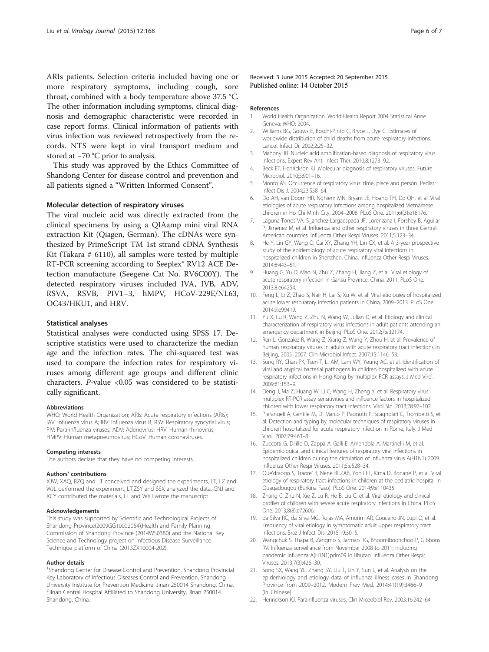<span id="page-5-0"></span>ARIs patients. Selection criteria included having one or more respiratory symptoms, including cough, sore throat, combined with a body temperature above 37.5 °C. The other information including symptoms, clinical diagnosis and demographic characteristic were recorded in case report forms. Clinical information of patients with virus infection was reviewed retrospectively from the records. NTS were kept in viral transport medium and stored at −70 °C prior to analysis.

This study was approved by the Ethics Committee of Shandong Center for disease control and prevention and all patients signed a "Written Informed Consent".

# Molecular detection of respiratory viruses

The viral nucleic acid was directly extracted from the clinical specimens by using a QIAamp mini viral RNA extraction Kit (Qiagen, German). The cDNAs were synthesized by PrimeScript TM 1st strand cDNA Synthesis Kit (Takara # 6110), all samples were tested by multiple RT-PCR screening according to Seeplex® RV12 ACE Detection manufacture (Seegene Cat No. RV6C00Y). The detected respiratory viruses included IVA, IVB, ADV, RSVA, RSVB, PIV1–3, hMPV, HCoV-229E/NL63, OC43/HKU1, and HRV.

#### Statistical analyses

Statistical analyses were conducted using SPSS 17. Descriptive statistics were used to characterize the median age and the infection rates. The chi-squared test was used to compare the infection rates for respiratory viruses among different age groups and different clinic characters. P-value <0.05 was considered to be statistically significant.

#### Abbreviations

WHO: World Health Organization; ARIs: Acute respiratory infections (ARIs); IAV: Influenza virus A; IBV: Influenza virus B; RSV: Respiratory syncytial virus; PIV: Para-influenza viruses; ADV: Adenovirus; HRV: Human rhinovirus; HMPV: Human metapneumovirus; HCoV: Human coronaviruses.

#### Competing interests

The authors declare that they have no competing interests.

#### Authors' contributions

XJW, XAQ, BZQ and LT conceived and designed the experiments, LT, LZ and WJL performed the experiment, LT,ZSY and SSX analyzed the data, GNJ and XCY contributed the materials, LT and WXJ wrote the manuscript.

#### Acknowledgements

This study was supported by Scientific and Technological Projects of Shandong Province(2009GG10002054),Health and Family Planning Commission of Shandong Province (2014WS0380) and the National Key Science and Technology project on Infectious Disease Surveillance Technique platform of China (2013ZX10004-202).

#### Author details

<sup>1</sup>Shandong Center for Disease Control and Prevention, Shandong Provincial Key Laboratory of Infectious Diseases Control and Prevention, Shandong University Institute for Prevention Medicine, Jinan 250014 Shandong, China. 2 Jinan Central Hospital Affiliated to Shandong University, Jinan 250014 Shandong, China.

Received: 3 June 2015 Accepted: 20 September 2015 Published online: 14 October 2015

#### References

- 1. World Health Organization. World Health Report 2004 Statistical Anne. Geneva: WHO; 2004.
- 2. Williams BG, Gouws E, Boschi-Pinto C, Bryce J, Dye C. Estimates of worldwide distribution of child deaths from acute respiratory infections. Lancet Infect Di. 2002;2:25–32.
- 3. Mahony JB. Nucleic acid amplification-based diagnosis of respiratory virus infections. Expert Rev Anti Infect Ther. 2010;8:1273–92.
- 4. Beck ET, Henrickson KJ. Molecular diagnosis of respiratory viruses. Future Microbiol. 2010;5:901–16.
- 5. Monto AS. Occurrence of respiratory virus: time, place and person. Pediatr Infect Dis J. 2004;23:S58–64.
- 6. Do AH, van Doorn HR, Nghiem MN, Bryant JE, Hoang TH, Do QH, et al. Viral etiologies of acute respiratory infections among hospitalized Vietnamese children in Ho Chi Minh City, 2004–2008. PLoS One. 2011;6((3):e18176.
- 7. Laguna-Torres VA, S\_anchez-Largaespada JF, Lorenzana I, Forshey B, Aguilar P, Jimenez M, et al. Influenza and other respiratory viruses in three Central American countries. Influenza Other Respi Viruses. 2011;5:123–34.
- 8. He Y, Lin GY, Wang Q, Cai XY, Zhang YH, Lin CX, et al. A 3-year prospective study of the epidemiology of acute respiratory viral infections in hospitalized children in Shenzhen, China. Influenza Other Respi Viruses. 2014;8:443–51.
- 9. Huang G, Yu D, Mao N, Zhu Z, Zhang H, Jiang Z, et al. Viral etiology of acute respiratory infection in Gansu Province, China, 2011. PLoS One. 2013;8:e64254.
- 10. Feng L, Li Z, Zhao S, Nair H, Lai S, Xu W, et al. Viral etiologies of hospitalized acute lower respiratory infection patients in China, 2009–2013. PLoS One. 2014;9:e99419.
- 11. Yu X, Lu R, Wang Z, Zhu N, Wang W, Julian D, et al. Etiology and clinical characterization of respiratory virus infections in adult patients attending an emergency department in Beijing. PLoS One. 2012;7:e32174.
- 12. Ren L, Gonzalez R, Wang Z, Xiang Z, Wang Y, Zhou H, et al. Prevalence of human respiratory viruses in adults with acute respiratory tract infections in Beijing, 2005–2007. Clin Microbiol Infect. 2007;15:1146–53.
- 13. Sung RY, Chan PK, Tsen T, Li AM, Lam WY, Yeung AC, et al. Identification of viral and atypical bacterial pathogens in children hospitalized with acute respiratory infections in Hong Kong by multiplex PCR assays. J Med Virol. 2009;81:153–9.
- 14. Deng J, Ma Z, Huang W, Li C, Wang H, Zheng Y, et al. Respiratory virus multiplex RT-PCR assay sensitivities and influence factors in hospitalized children with lower respiratory tract infections. Virol Sin. 2013;28:97–102.
- 15. Pierangeli A, Gentile M, Di Marco P, Pagnotti P, Scagnolari C, Trombetti S, et al. Detection and typing by molecular techniques of respiratory viruses in children hospitalized for acute respiratory infection in Rome, Italy. J Med Virol. 2007;79:463–8.
- 16. Zuccotti G, Dilillo D, Zappa A, Galli E, Amendola A, Martinelli M, et al. Epidemiological and clinical features of respiratory viral infections in hospitalized children during the circulation of influenza virus A(H1N1) 2009. Influenza Other Respi Viruses. 2011;5:e528–34.
- 17. Oue'draogo S, Traore' B, Nene Bi ZAB, Yonli FT, Kima D, Bonane P, et al. Viral etiology of respiratory tract infections in children at the pediatric hospital in Ouagadougou (Burkina Faso). PLoS One. 2014;9:e110435.
- 18. Zhang C, Zhu N, Xie Z, Lu R, He B, Liu C, et al. Viral etiology and clinical profiles of children with severe acute respiratory infections in China. PLoS One. 2013;8(8):e72606.
- 19. da Silva RC, da Silva MG, Rojas MA, Amorim AR, Couceiro JN, Lupi O, et al. Frequency of viral etiology in symptomatic adult upper respiratory tract infections. Braz J Infect Dis. 2015;19:30–5.
- 20. Wangchuk S, Thapa B, Zangmo S, Jarman RG, Bhoomiboonchoo P, Gibbons RV. Influenza surveillance from November 2008 to 2011; including pandemic influenza A(H1N1)pdm09 in Bhutan. Influenza Other Respir Viruses. 2013;7(3):426–30.
- 21. Song SX, Wang YL, Zhang SY, Liu T, Lin Y, Sun L, et al. Analysis on the epidemiology and etiology data of influenza illness cases in Shandong Province from 2009–2012. Modern Prev Med. 2014;41(19):3466–9 (in Chinese).
- 22. Henrickson KJ. Parainfluenza viruses. Clin Miceobiol Rev. 2003;16:242–64.